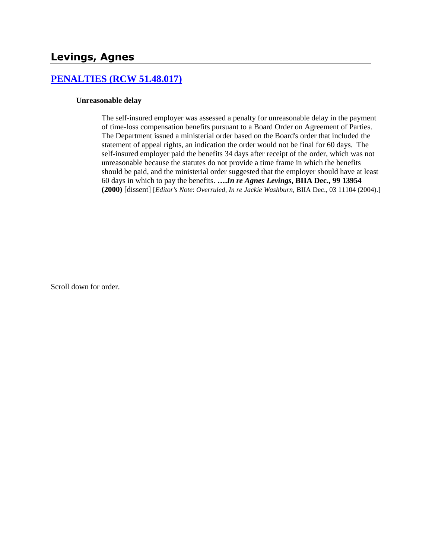## **Levings, Agnes**

#### **[PENALTIES \(RCW 51.48.017\)](http://www.biia.wa.gov/SDSubjectIndex.html#PENALTIES)**

#### **Unreasonable delay**

The self-insured employer was assessed a penalty for unreasonable delay in the payment of time-loss compensation benefits pursuant to a Board Order on Agreement of Parties. The Department issued a ministerial order based on the Board's order that included the statement of appeal rights, an indication the order would not be final for 60 days. The self-insured employer paid the benefits 34 days after receipt of the order, which was not unreasonable because the statutes do not provide a time frame in which the benefits should be paid, and the ministerial order suggested that the employer should have at least 60 days in which to pay the benefits. **….***In re Agnes Levings***, BIIA Dec., 99 13954 (2000)** [dissent] [*Editor's Note*: *Overruled, In re Jackie Washburn,* BIIA Dec., 03 11104 (2004).]

Scroll down for order.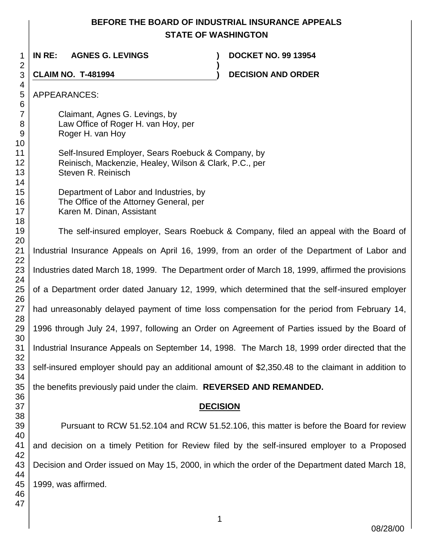#### **BEFORE THE BOARD OF INDUSTRIAL INSURANCE APPEALS STATE OF WASHINGTON**

**)**

 **IN RE: AGNES G. LEVINGS ) DOCKET NO. 99 13954**

**CLAIM NO. T-481994 ) DECISION AND ORDER** 

APPEARANCES:

Claimant, Agnes G. Levings, by Law Office of Roger H. van Hoy, per Roger H. van Hoy

Self-Insured Employer, Sears Roebuck & Company, by Reinisch, Mackenzie, Healey, Wilson & Clark, P.C., per Steven R. Reinisch

Department of Labor and Industries, by The Office of the Attorney General, per Karen M. Dinan, Assistant

The self-insured employer, Sears Roebuck & Company, filed an appeal with the Board of Industrial Insurance Appeals on April 16, 1999, from an order of the Department of Labor and Industries dated March 18, 1999. The Department order of March 18, 1999, affirmed the provisions of a Department order dated January 12, 1999, which determined that the self-insured employer had unreasonably delayed payment of time loss compensation for the period from February 14, 1996 through July 24, 1997, following an Order on Agreement of Parties issued by the Board of Industrial Insurance Appeals on September 14, 1998. The March 18, 1999 order directed that the self-insured employer should pay an additional amount of \$2,350.48 to the claimant in addition to

the benefits previously paid under the claim. **REVERSED AND REMANDED.**

## **DECISION**

Pursuant to RCW 51.52.104 and RCW 51.52.106, this matter is before the Board for review and decision on a timely Petition for Review filed by the self-insured employer to a Proposed Decision and Order issued on May 15, 2000, in which the order of the Department dated March 18, 1999, was affirmed.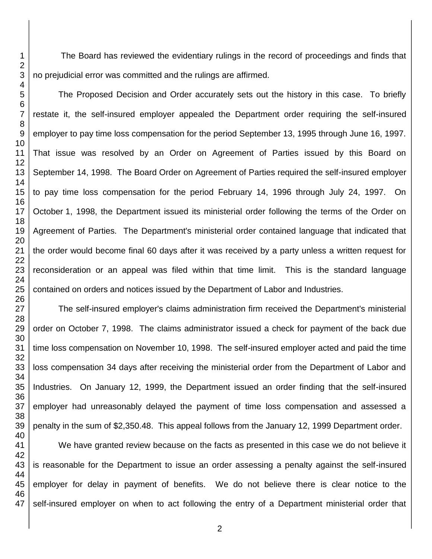The Board has reviewed the evidentiary rulings in the record of proceedings and finds that no prejudicial error was committed and the rulings are affirmed.

The Proposed Decision and Order accurately sets out the history in this case. To briefly restate it, the self-insured employer appealed the Department order requiring the self-insured employer to pay time loss compensation for the period September 13, 1995 through June 16, 1997. That issue was resolved by an Order on Agreement of Parties issued by this Board on September 14, 1998. The Board Order on Agreement of Parties required the self-insured employer to pay time loss compensation for the period February 14, 1996 through July 24, 1997. On October 1, 1998, the Department issued its ministerial order following the terms of the Order on Agreement of Parties. The Department's ministerial order contained language that indicated that the order would become final 60 days after it was received by a party unless a written request for reconsideration or an appeal was filed within that time limit. This is the standard language contained on orders and notices issued by the Department of Labor and Industries.

The self-insured employer's claims administration firm received the Department's ministerial order on October 7, 1998. The claims administrator issued a check for payment of the back due time loss compensation on November 10, 1998. The self-insured employer acted and paid the time loss compensation 34 days after receiving the ministerial order from the Department of Labor and Industries. On January 12, 1999, the Department issued an order finding that the self-insured employer had unreasonably delayed the payment of time loss compensation and assessed a penalty in the sum of \$2,350.48. This appeal follows from the January 12, 1999 Department order.

We have granted review because on the facts as presented in this case we do not believe it is reasonable for the Department to issue an order assessing a penalty against the self-insured employer for delay in payment of benefits. We do not believe there is clear notice to the self-insured employer on when to act following the entry of a Department ministerial order that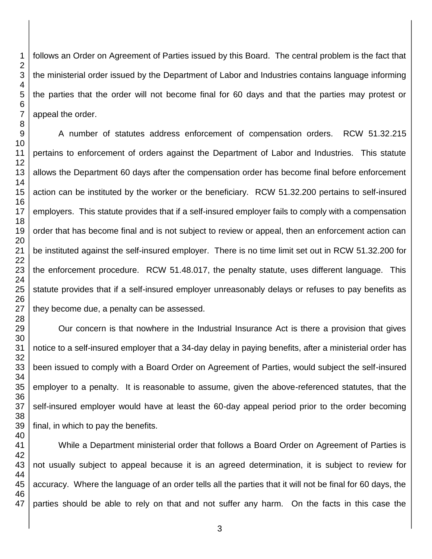follows an Order on Agreement of Parties issued by this Board. The central problem is the fact that the ministerial order issued by the Department of Labor and Industries contains language informing the parties that the order will not become final for 60 days and that the parties may protest or appeal the order.

A number of statutes address enforcement of compensation orders. RCW 51.32.215 pertains to enforcement of orders against the Department of Labor and Industries. This statute allows the Department 60 days after the compensation order has become final before enforcement action can be instituted by the worker or the beneficiary. RCW 51.32.200 pertains to self-insured employers. This statute provides that if a self-insured employer fails to comply with a compensation order that has become final and is not subject to review or appeal, then an enforcement action can be instituted against the self-insured employer. There is no time limit set out in RCW 51.32.200 for the enforcement procedure. RCW 51.48.017, the penalty statute, uses different language. This statute provides that if a self-insured employer unreasonably delays or refuses to pay benefits as they become due, a penalty can be assessed.

Our concern is that nowhere in the Industrial Insurance Act is there a provision that gives notice to a self-insured employer that a 34-day delay in paying benefits, after a ministerial order has been issued to comply with a Board Order on Agreement of Parties, would subject the self-insured employer to a penalty. It is reasonable to assume, given the above-referenced statutes, that the self-insured employer would have at least the 60-day appeal period prior to the order becoming final, in which to pay the benefits.

 While a Department ministerial order that follows a Board Order on Agreement of Parties is not usually subject to appeal because it is an agreed determination, it is subject to review for accuracy. Where the language of an order tells all the parties that it will not be final for 60 days, the parties should be able to rely on that and not suffer any harm. On the facts in this case the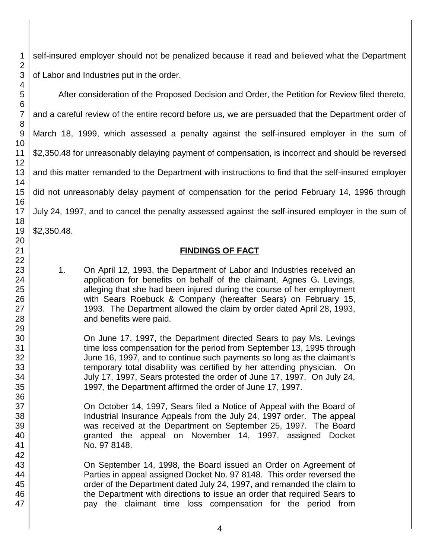self-insured employer should not be penalized because it read and believed what the Department of Labor and Industries put in the order.

After consideration of the Proposed Decision and Order, the Petition for Review filed thereto, and a careful review of the entire record before us, we are persuaded that the Department order of March 18, 1999, which assessed a penalty against the self-insured employer in the sum of \$2,350.48 for unreasonably delaying payment of compensation, is incorrect and should be reversed and this matter remanded to the Department with instructions to find that the self-insured employer did not unreasonably delay payment of compensation for the period February 14, 1996 through July 24, 1997, and to cancel the penalty assessed against the self-insured employer in the sum of \$2,350.48.

## **FINDINGS OF FACT**

1. On April 12, 1993, the Department of Labor and Industries received an application for benefits on behalf of the claimant, Agnes G. Levings, alleging that she had been injured during the course of her employment with Sears Roebuck & Company (hereafter Sears) on February 15, 1993. The Department allowed the claim by order dated April 28, 1993, and benefits were paid.

On June 17, 1997, the Department directed Sears to pay Ms. Levings time loss compensation for the period from September 13, 1995 through June 16, 1997, and to continue such payments so long as the claimant's temporary total disability was certified by her attending physician. On July 17, 1997, Sears protested the order of June 17, 1997. On July 24, 1997, the Department affirmed the order of June 17, 1997.

On October 14, 1997, Sears filed a Notice of Appeal with the Board of Industrial Insurance Appeals from the July 24, 1997 order. The appeal was received at the Department on September 25, 1997. The Board granted the appeal on November 14, 1997, assigned Docket No. 97 8148.

On September 14, 1998, the Board issued an Order on Agreement of Parties in appeal assigned Docket No. 97 8148. This order reversed the order of the Department dated July 24, 1997, and remanded the claim to the Department with directions to issue an order that required Sears to pay the claimant time loss compensation for the period from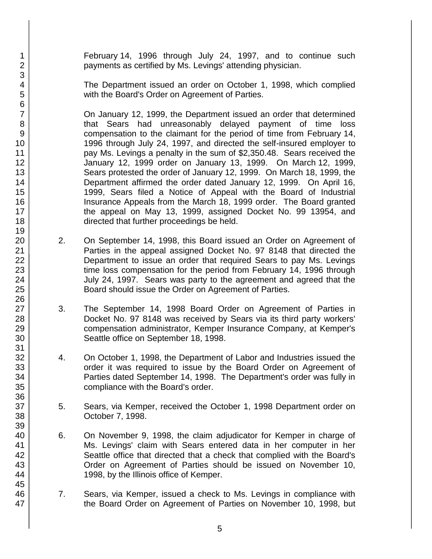February 14, 1996 through July 24, 1997, and to continue such payments as certified by Ms. Levings' attending physician.

The Department issued an order on October 1, 1998, which complied with the Board's Order on Agreement of Parties.

On January 12, 1999, the Department issued an order that determined that Sears had unreasonably delayed payment of time loss compensation to the claimant for the period of time from February 14, 1996 through July 24, 1997, and directed the self-insured employer to pay Ms. Levings a penalty in the sum of \$2,350.48. Sears received the January 12, 1999 order on January 13, 1999. On March 12, 1999, Sears protested the order of January 12, 1999. On March 18, 1999, the Department affirmed the order dated January 12, 1999. On April 16, 1999, Sears filed a Notice of Appeal with the Board of Industrial Insurance Appeals from the March 18, 1999 order. The Board granted the appeal on May 13, 1999, assigned Docket No. 99 13954, and directed that further proceedings be held.

- 2. On September 14, 1998, this Board issued an Order on Agreement of Parties in the appeal assigned Docket No. 97 8148 that directed the Department to issue an order that required Sears to pay Ms. Levings time loss compensation for the period from February 14, 1996 through July 24, 1997. Sears was party to the agreement and agreed that the Board should issue the Order on Agreement of Parties.
- 3. The September 14, 1998 Board Order on Agreement of Parties in Docket No. 97 8148 was received by Sears via its third party workers' compensation administrator, Kemper Insurance Company, at Kemper's Seattle office on September 18, 1998.
- 4. On October 1, 1998, the Department of Labor and Industries issued the order it was required to issue by the Board Order on Agreement of Parties dated September 14, 1998. The Department's order was fully in compliance with the Board's order.
- 5. Sears, via Kemper, received the October 1, 1998 Department order on October 7, 1998.
- 6. On November 9, 1998, the claim adjudicator for Kemper in charge of Ms. Levings' claim with Sears entered data in her computer in her Seattle office that directed that a check that complied with the Board's Order on Agreement of Parties should be issued on November 10, 1998, by the Illinois office of Kemper.
- 7. Sears, via Kemper, issued a check to Ms. Levings in compliance with the Board Order on Agreement of Parties on November 10, 1998, but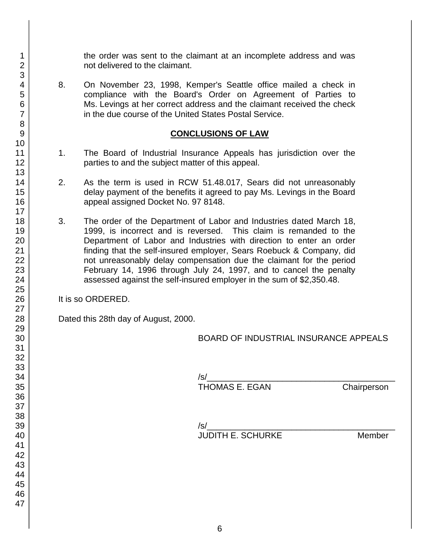the order was sent to the claimant at an incomplete address and was not delivered to the claimant.

8. On November 23, 1998, Kemper's Seattle office mailed a check in compliance with the Board's Order on Agreement of Parties to Ms. Levings at her correct address and the claimant received the check in the due course of the United States Postal Service.

#### **CONCLUSIONS OF LAW**

- 1. The Board of Industrial Insurance Appeals has jurisdiction over the parties to and the subject matter of this appeal.
- 2. As the term is used in RCW 51.48.017, Sears did not unreasonably delay payment of the benefits it agreed to pay Ms. Levings in the Board appeal assigned Docket No. 97 8148.
- 3. The order of the Department of Labor and Industries dated March 18, 1999, is incorrect and is reversed. This claim is remanded to the Department of Labor and Industries with direction to enter an order finding that the self-insured employer, Sears Roebuck & Company, did not unreasonably delay compensation due the claimant for the period February 14, 1996 through July 24, 1997, and to cancel the penalty assessed against the self-insured employer in the sum of \$2,350.48.

It is so ORDERED.

Dated this 28th day of August, 2000.

BOARD OF INDUSTRIAL INSURANCE APPEALS

/s/\_\_\_\_\_\_\_\_\_\_\_\_\_\_\_\_\_\_\_\_\_\_\_\_\_\_\_\_\_\_\_\_\_\_\_\_\_\_\_\_

Chairperson

/s/\_\_\_\_\_\_\_\_\_\_\_\_\_\_\_\_\_\_\_\_\_\_\_\_\_\_\_\_\_\_\_\_\_\_\_\_\_\_\_\_ JUDITH E. SCHURKE Member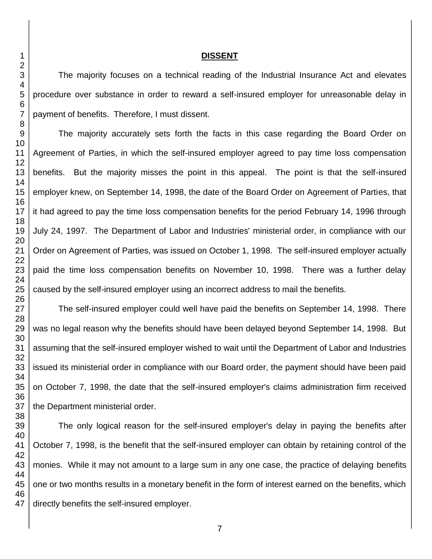#### **DISSENT**

The majority focuses on a technical reading of the Industrial Insurance Act and elevates procedure over substance in order to reward a self-insured employer for unreasonable delay in payment of benefits. Therefore, I must dissent.

The majority accurately sets forth the facts in this case regarding the Board Order on Agreement of Parties, in which the self-insured employer agreed to pay time loss compensation benefits. But the majority misses the point in this appeal. The point is that the self-insured employer knew, on September 14, 1998, the date of the Board Order on Agreement of Parties, that it had agreed to pay the time loss compensation benefits for the period February 14, 1996 through July 24, 1997. The Department of Labor and Industries' ministerial order, in compliance with our Order on Agreement of Parties, was issued on October 1, 1998. The self-insured employer actually paid the time loss compensation benefits on November 10, 1998. There was a further delay caused by the self-insured employer using an incorrect address to mail the benefits.

The self-insured employer could well have paid the benefits on September 14, 1998. There was no legal reason why the benefits should have been delayed beyond September 14, 1998. But assuming that the self-insured employer wished to wait until the Department of Labor and Industries issued its ministerial order in compliance with our Board order, the payment should have been paid on October 7, 1998, the date that the self-insured employer's claims administration firm received the Department ministerial order.

The only logical reason for the self-insured employer's delay in paying the benefits after October 7, 1998, is the benefit that the self-insured employer can obtain by retaining control of the monies. While it may not amount to a large sum in any one case, the practice of delaying benefits one or two months results in a monetary benefit in the form of interest earned on the benefits, which directly benefits the self-insured employer.